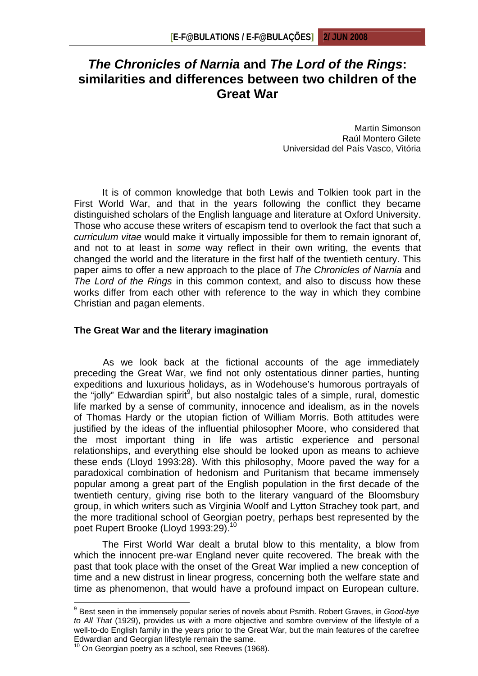# *The Chronicles of Narnia* **and** *The Lord of the Rings***: similarities and differences between two children of the Great War**

Martin Simonson Raúl Montero Gilete Universidad del País Vasco, Vitória

It is of common knowledge that both Lewis and Tolkien took part in the First World War, and that in the years following the conflict they became distinguished scholars of the English language and literature at Oxford University. Those who accuse these writers of escapism tend to overlook the fact that such a *curriculum vitae* would make it virtually impossible for them to remain ignorant of, and not to at least in *some* way reflect in their own writing, the events that changed the world and the literature in the first half of the twentieth century. This paper aims to offer a new approach to the place of *The Chronicles of Narnia* and *The Lord of the Rings* in this common context, and also to discuss how these works differ from each other with reference to the way in which they combine Christian and pagan elements.

#### **The Great War and the literary imagination**

As we look back at the fictional accounts of the age immediately preceding the Great War, we find not only ostentatious dinner parties, hunting expeditions and luxurious holidays, as in Wodehouse's humorous portrayals of the "jolly" Edwardian spirit $9$ , but also nostalgic tales of a simple, rural, domestic life marked by a sense of community, innocence and idealism, as in the novels of Thomas Hardy or the utopian fiction of William Morris. Both attitudes were justified by the ideas of the influential philosopher Moore, who considered that the most important thing in life was artistic experience and personal relationships, and everything else should be looked upon as means to achieve these ends (Lloyd 1993:28). With this philosophy, Moore paved the way for a paradoxical combination of hedonism and Puritanism that became immensely popular among a great part of the English population in the first decade of the twentieth century, giving rise both to the literary vanguard of the Bloomsbury group, in which writers such as Virginia Woolf and Lytton Strachey took part, and the more traditional school of Georgian poetry, perhaps best represented by the poet Rupert Brooke (Lloyd 1993:29).<sup>10</sup>

The First World War dealt a brutal blow to this mentality, a blow from which the innocent pre-war England never quite recovered. The break with the past that took place with the onset of the Great War implied a new conception of time and a new distrust in linear progress, concerning both the welfare state and time as phenomenon, that would have a profound impact on European culture.

<sup>9</sup> Best seen in the immensely popular series of novels about Psmith. Robert Graves, in *Good-bye to All That* (1929), provides us with a more objective and sombre overview of the lifestyle of a well-to-do English family in the years prior to the Great War, but the main features of the carefree Edwardian and Georgian lifestyle remain the same.

 $10$  On Georgian poetry as a school, see Reeves (1968).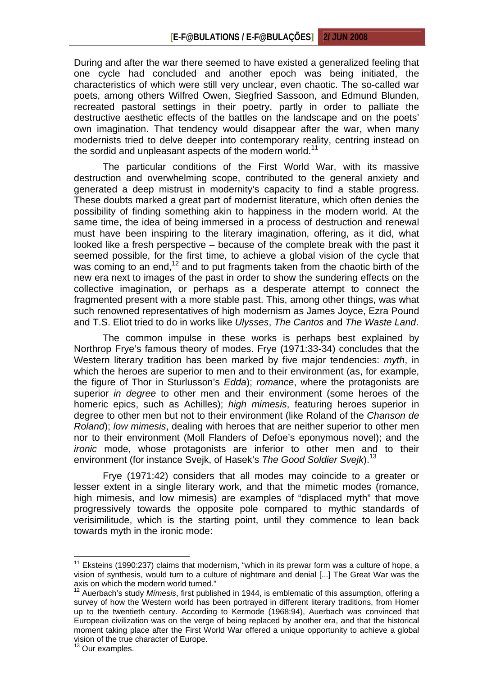During and after the war there seemed to have existed a generalized feeling that one cycle had concluded and another epoch was being initiated, the characteristics of which were still very unclear, even chaotic. The so-called war poets, among others Wilfred Owen, Siegfried Sassoon, and Edmund Blunden, recreated pastoral settings in their poetry, partly in order to palliate the destructive aesthetic effects of the battles on the landscape and on the poets' own imagination. That tendency would disappear after the war, when many modernists tried to delve deeper into contemporary reality, centring instead on the sordid and unpleasant aspects of the modern world.<sup>11</sup>

The particular conditions of the First World War, with its massive destruction and overwhelming scope, contributed to the general anxiety and generated a deep mistrust in modernity's capacity to find a stable progress. These doubts marked a great part of modernist literature, which often denies the possibility of finding something akin to happiness in the modern world. At the same time, the idea of being immersed in a process of destruction and renewal must have been inspiring to the literary imagination, offering, as it did, what looked like a fresh perspective – because of the complete break with the past it seemed possible, for the first time, to achieve a global vision of the cycle that was coming to an end,<sup>12</sup> and to put fragments taken from the chaotic birth of the new era next to images of the past in order to show the sundering effects on the collective imagination, or perhaps as a desperate attempt to connect the fragmented present with a more stable past. This, among other things, was what such renowned representatives of high modernism as James Joyce, Ezra Pound and T.S. Eliot tried to do in works like *Ulysses*, *The Cantos* and *The Waste Land*.

The common impulse in these works is perhaps best explained by Northrop Frye's famous theory of modes. Frye (1971:33-34) concludes that the Western literary tradition has been marked by five major tendencies: *myth*, in which the heroes are superior to men and to their environment (as, for example, the figure of Thor in Sturlusson's *Edda*); *romance*, where the protagonists are superior *in degree* to other men and their environment (some heroes of the homeric epics, such as Achilles); *high mimesis*, featuring heroes superior in degree to other men but not to their environment (like Roland of the *Chanson de Roland*); *low mimesis*, dealing with heroes that are neither superior to other men nor to their environment (Moll Flanders of Defoe's eponymous novel); and the *ironic* mode, whose protagonists are inferior to other men and to their environment (for instance Svejk, of Hasek's *The Good Soldier Svejk*).<sup>13</sup>

Frye (1971:42) considers that all modes may coincide to a greater or lesser extent in a single literary work, and that the mimetic modes (romance, high mimesis, and low mimesis) are examples of "displaced myth" that move progressively towards the opposite pole compared to mythic standards of verisimilitude, which is the starting point, until they commence to lean back towards myth in the ironic mode:

 $11$  Eksteins (1990:237) claims that modernism, "which in its prewar form was a culture of hope, a vision of synthesis, would turn to a culture of nightmare and denial [...] The Great War was the axis on which the modern world turned."<br><sup>12</sup> August 5:55

<sup>12</sup> Auerbach's study *Mímesis*, first published in 1944, is emblematic of this assumption, offering a survey of how the Western world has been portrayed in different literary traditions, from Homer up to the twentieth century. According to Kermode (1968:94), Auerbach was convinced that European civilization was on the verge of being replaced by another era, and that the historical moment taking place after the First World War offered a unique opportunity to achieve a global vision of the true character of Europe.

<sup>&</sup>lt;sup>13</sup> Our examples.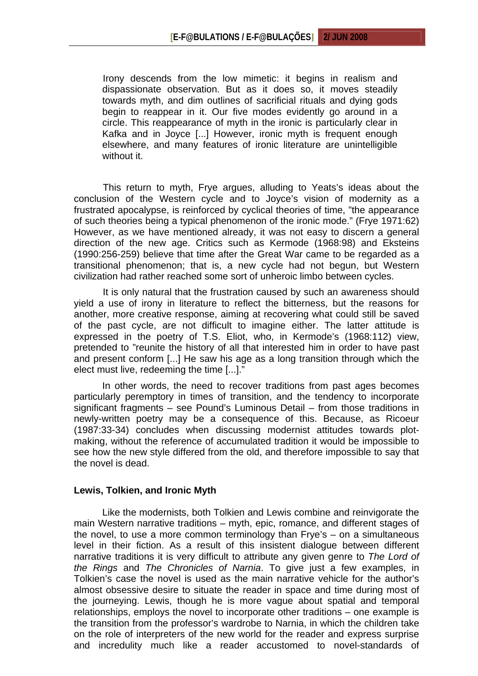Irony descends from the low mimetic: it begins in realism and dispassionate observation. But as it does so, it moves steadily towards myth, and dim outlines of sacrificial rituals and dying gods begin to reappear in it. Our five modes evidently go around in a circle. This reappearance of myth in the ironic is particularly clear in Kafka and in Joyce [...] However, ironic myth is frequent enough elsewhere, and many features of ironic literature are unintelligible without it.

This return to myth, Frye argues, alluding to Yeats's ideas about the conclusion of the Western cycle and to Joyce's vision of modernity as a frustrated apocalypse, is reinforced by cyclical theories of time, "the appearance of such theories being a typical phenomenon of the ironic mode." (Frye 1971:62) However, as we have mentioned already, it was not easy to discern a general direction of the new age. Critics such as Kermode (1968:98) and Eksteins (1990:256-259) believe that time after the Great War came to be regarded as a transitional phenomenon; that is, a new cycle had not begun, but Western civilization had rather reached some sort of unheroic limbo between cycles.

It is only natural that the frustration caused by such an awareness should yield a use of irony in literature to reflect the bitterness, but the reasons for another, more creative response, aiming at recovering what could still be saved of the past cycle, are not difficult to imagine either. The latter attitude is expressed in the poetry of T.S. Eliot, who, in Kermode's (1968:112) view, pretended to "reunite the history of all that interested him in order to have past and present conform [...] He saw his age as a long transition through which the elect must live, redeeming the time [...]."

In other words, the need to recover traditions from past ages becomes particularly peremptory in times of transition, and the tendency to incorporate significant fragments – see Pound's Luminous Detail – from those traditions in newly-written poetry may be a consequence of this. Because, as Ricoeur (1987:33-34) concludes when discussing modernist attitudes towards plotmaking, without the reference of accumulated tradition it would be impossible to see how the new style differed from the old, and therefore impossible to say that the novel is dead.

#### **Lewis, Tolkien, and Ironic Myth**

Like the modernists, both Tolkien and Lewis combine and reinvigorate the main Western narrative traditions – myth, epic, romance, and different stages of the novel, to use a more common terminology than Frye's – on a simultaneous level in their fiction. As a result of this insistent dialogue between different narrative traditions it is very difficult to attribute any given genre to *The Lord of the Rings* and *The Chronicles of Narnia*. To give just a few examples, in Tolkien's case the novel is used as the main narrative vehicle for the author's almost obsessive desire to situate the reader in space and time during most of the journeying. Lewis, though he is more vague about spatial and temporal relationships, employs the novel to incorporate other traditions – one example is the transition from the professor's wardrobe to Narnia, in which the children take on the role of interpreters of the new world for the reader and express surprise and incredulity much like a reader accustomed to novel-standards of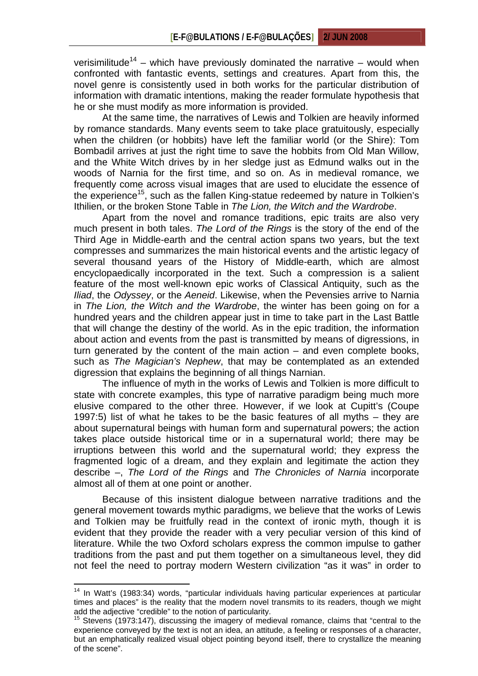verisimilitude<sup>14</sup> – which have previously dominated the narrative – would when confronted with fantastic events, settings and creatures. Apart from this, the novel genre is consistently used in both works for the particular distribution of information with dramatic intentions, making the reader formulate hypothesis that he or she must modify as more information is provided.

At the same time, the narratives of Lewis and Tolkien are heavily informed by romance standards. Many events seem to take place gratuitously, especially when the children (or hobbits) have left the familiar world (or the Shire): Tom Bombadil arrives at just the right time to save the hobbits from Old Man Willow, and the White Witch drives by in her sledge just as Edmund walks out in the woods of Narnia for the first time, and so on. As in medieval romance, we frequently come across visual images that are used to elucidate the essence of the experience<sup>15</sup>, such as the fallen King-statue redeemed by nature in Tolkien's Ithilien, or the broken Stone Table in *The Lion, the Witch and the Wardrobe*.

Apart from the novel and romance traditions, epic traits are also very much present in both tales. *The Lord of the Rings* is the story of the end of the Third Age in Middle-earth and the central action spans two years, but the text compresses and summarizes the main historical events and the artistic legacy of several thousand years of the History of Middle-earth, which are almost encyclopaedically incorporated in the text. Such a compression is a salient feature of the most well-known epic works of Classical Antiquity, such as the *Iliad*, the *Odyssey*, or the *Aeneid*. Likewise, when the Pevensies arrive to Narnia in *The Lion, the Witch and the Wardrobe*, the winter has been going on for a hundred years and the children appear just in time to take part in the Last Battle that will change the destiny of the world. As in the epic tradition, the information about action and events from the past is transmitted by means of digressions, in turn generated by the content of the main action – and even complete books, such as *The Magician's Nephew*, that may be contemplated as an extended digression that explains the beginning of all things Narnian.

The influence of myth in the works of Lewis and Tolkien is more difficult to state with concrete examples, this type of narrative paradigm being much more elusive compared to the other three. However, if we look at Cupitt's (Coupe 1997:5) list of what he takes to be the basic features of all myths – they are about supernatural beings with human form and supernatural powers; the action takes place outside historical time or in a supernatural world; there may be irruptions between this world and the supernatural world; they express the fragmented logic of a dream, and they explain and legitimate the action they describe –, *The Lord of the Rings* and *The Chronicles of Narnia* incorporate almost all of them at one point or another.

Because of this insistent dialogue between narrative traditions and the general movement towards mythic paradigms, we believe that the works of Lewis and Tolkien may be fruitfully read in the context of ironic myth, though it is evident that they provide the reader with a very peculiar version of this kind of literature. While the two Oxford scholars express the common impulse to gather traditions from the past and put them together on a simultaneous level, they did not feel the need to portray modern Western civilization "as it was" in order to

<sup>&</sup>lt;sup>14</sup> In Watt's (1983:34) words, "particular individuals having particular experiences at particular times and places" is the reality that the modern novel transmits to its readers, though we might add the adjective "credible" to the notion of particularity.

 $15$  Stevens (1973:147), discussing the imagery of medieval romance, claims that "central to the experience conveyed by the text is not an idea, an attitude, a feeling or responses of a character, but an emphatically realized visual object pointing beyond itself, there to crystallize the meaning of the scene".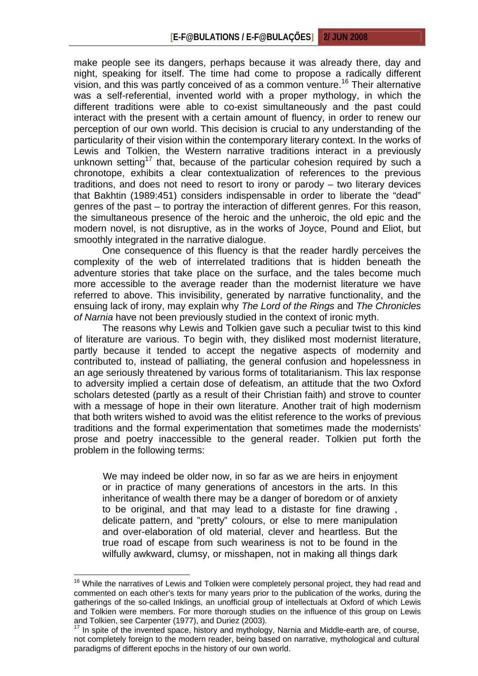make people see its dangers, perhaps because it was already there, day and night, speaking for itself. The time had come to propose a radically different vision, and this was partly conceived of as a common venture.<sup>16</sup> Their alternative was a self-referential, invented world with a proper mythology, in which the different traditions were able to co-exist simultaneously and the past could interact with the present with a certain amount of fluency, in order to renew our perception of our own world. This decision is crucial to any understanding of the particularity of their vision within the contemporary literary context. In the works of Lewis and Tolkien, the Western narrative traditions interact in a previously unknown setting<sup>17</sup> that, because of the particular cohesion required by such a chronotope, exhibits a clear contextualization of references to the previous traditions, and does not need to resort to irony or parody – two literary devices that Bakhtin (1989:451) considers indispensable in order to liberate the "dead" genres of the past – to portray the interaction of different genres. For this reason, the simultaneous presence of the heroic and the unheroic, the old epic and the modern novel, is not disruptive, as in the works of Joyce, Pound and Eliot, but smoothly integrated in the narrative dialogue.

One consequence of this fluency is that the reader hardly perceives the complexity of the web of interrelated traditions that is hidden beneath the adventure stories that take place on the surface, and the tales become much more accessible to the average reader than the modernist literature we have referred to above. This invisibility, generated by narrative functionality, and the ensuing lack of irony, may explain why *The Lord of the Rings* and *The Chronicles of Narnia* have not been previously studied in the context of ironic myth.

The reasons why Lewis and Tolkien gave such a peculiar twist to this kind of literature are various. To begin with, they disliked most modernist literature, partly because it tended to accept the negative aspects of modernity and contributed to, instead of palliating, the general confusion and hopelessness in an age seriously threatened by various forms of totalitarianism. This lax response to adversity implied a certain dose of defeatism, an attitude that the two Oxford scholars detested (partly as a result of their Christian faith) and strove to counter with a message of hope in their own literature. Another trait of high modernism that both writers wished to avoid was the elitist reference to the works of previous traditions and the formal experimentation that sometimes made the modernists' prose and poetry inaccessible to the general reader. Tolkien put forth the problem in the following terms:

We may indeed be older now, in so far as we are heirs in enjoyment or in practice of many generations of ancestors in the arts. In this inheritance of wealth there may be a danger of boredom or of anxiety to be original, and that may lead to a distaste for fine drawing , delicate pattern, and "pretty" colours, or else to mere manipulation and over-elaboration of old material, clever and heartless. But the true road of escape from such weariness is not to be found in the wilfully awkward, clumsy, or misshapen, not in making all things dark

<sup>&</sup>lt;sup>16</sup> While the narratives of Lewis and Tolkien were completely personal project, they had read and commented on each other's texts for many years prior to the publication of the works, during the gatherings of the so-called Inklings, an unofficial group of intellectuals at Oxford of which Lewis and Tolkien were members. For more thorough studies on the influence of this group on Lewis and Tolkien, see Carpenter (1977), and Duriez (2003).

 $17$  In spite of the invented space, history and mythology, Narnia and Middle-earth are, of course, not completely foreign to the modern reader, being based on narrative, mythological and cultural paradigms of different epochs in the history of our own world.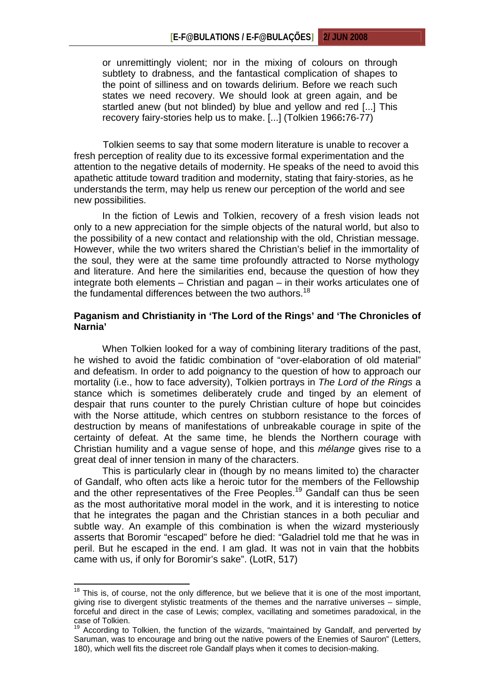or unremittingly violent; nor in the mixing of colours on through subtlety to drabness, and the fantastical complication of shapes to the point of silliness and on towards delirium. Before we reach such states we need recovery. We should look at green again, and be startled anew (but not blinded) by blue and yellow and red [...] This recovery fairy-stories help us to make. [...] (Tolkien 1966**:**76-77)

Tolkien seems to say that some modern literature is unable to recover a fresh perception of reality due to its excessive formal experimentation and the attention to the negative details of modernity. He speaks of the need to avoid this apathetic attitude toward tradition and modernity, stating that fairy-stories, as he understands the term, may help us renew our perception of the world and see new possibilities.

In the fiction of Lewis and Tolkien, recovery of a fresh vision leads not only to a new appreciation for the simple objects of the natural world, but also to the possibility of a new contact and relationship with the old, Christian message. However, while the two writers shared the Christian's belief in the immortality of the soul, they were at the same time profoundly attracted to Norse mythology and literature. And here the similarities end, because the question of how they integrate both elements – Christian and pagan – in their works articulates one of the fundamental differences between the two authors.<sup>18</sup>

### **Paganism and Christianity in 'The Lord of the Rings' and 'The Chronicles of Narnia'**

When Tolkien looked for a way of combining literary traditions of the past, he wished to avoid the fatidic combination of "over-elaboration of old material" and defeatism. In order to add poignancy to the question of how to approach our mortality (i.e., how to face adversity), Tolkien portrays in *The Lord of the Rings* a stance which is sometimes deliberately crude and tinged by an element of despair that runs counter to the purely Christian culture of hope but coincides with the Norse attitude, which centres on stubborn resistance to the forces of destruction by means of manifestations of unbreakable courage in spite of the certainty of defeat. At the same time, he blends the Northern courage with Christian humility and a vague sense of hope, and this *mélange* gives rise to a great deal of inner tension in many of the characters.

This is particularly clear in (though by no means limited to) the character of Gandalf, who often acts like a heroic tutor for the members of the Fellowship and the other representatives of the Free Peoples.<sup>19</sup> Gandalf can thus be seen as the most authoritative moral model in the work, and it is interesting to notice that he integrates the pagan and the Christian stances in a both peculiar and subtle way. An example of this combination is when the wizard mysteriously asserts that Boromir "escaped" before he died: "Galadriel told me that he was in peril. But he escaped in the end. I am glad. It was not in vain that the hobbits came with us, if only for Boromir's sake". (LotR, 517)

 $18$  This is, of course, not the only difference, but we believe that it is one of the most important, giving rise to divergent stylistic treatments of the themes and the narrative universes – simple, forceful and direct in the case of Lewis; complex, vacillating and sometimes paradoxical, in the case of Tolkien.

 $19$  According to Tolkien, the function of the wizards, "maintained by Gandalf, and perverted by Saruman, was to encourage and bring out the native powers of the Enemies of Sauron" (Letters, 180), which well fits the discreet role Gandalf plays when it comes to decision-making.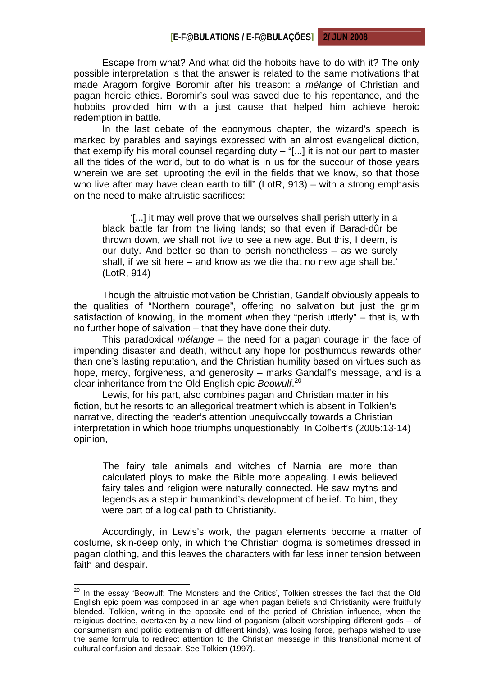Escape from what? And what did the hobbits have to do with it? The only possible interpretation is that the answer is related to the same motivations that made Aragorn forgive Boromir after his treason: a *mélange* of Christian and pagan heroic ethics. Boromir's soul was saved due to his repentance, and the hobbits provided him with a just cause that helped him achieve heroic redemption in battle.

In the last debate of the eponymous chapter, the wizard's speech is marked by parables and sayings expressed with an almost evangelical diction, that exemplify his moral counsel regarding duty – "[...] it is not our part to master all the tides of the world, but to do what is in us for the succour of those years wherein we are set, uprooting the evil in the fields that we know, so that those who live after may have clean earth to till" (LotR, 913) – with a strong emphasis on the need to make altruistic sacrifices:

'[...] it may well prove that we ourselves shall perish utterly in a black battle far from the living lands; so that even if Barad-dûr be thrown down, we shall not live to see a new age. But this, I deem, is our duty. And better so than to perish nonetheless – as we surely shall, if we sit here – and know as we die that no new age shall be.' (LotR, 914)

 Though the altruistic motivation be Christian, Gandalf obviously appeals to the qualities of "Northern courage", offering no salvation but just the grim satisfaction of knowing, in the moment when they "perish utterly" – that is, with no further hope of salvation – that they have done their duty.

This paradoxical *mélange* – the need for a pagan courage in the face of impending disaster and death, without any hope for posthumous rewards other than one's lasting reputation, and the Christian humility based on virtues such as hope, mercy, forgiveness, and generosity – marks Gandalf's message, and is a clear inheritance from the Old English epic *Beowulf*. 20

Lewis, for his part, also combines pagan and Christian matter in his fiction, but he resorts to an allegorical treatment which is absent in Tolkien's narrative, directing the reader's attention unequivocally towards a Christian interpretation in which hope triumphs unquestionably. In Colbert's (2005:13-14) opinion,

The fairy tale animals and witches of Narnia are more than calculated ploys to make the Bible more appealing. Lewis believed fairy tales and religion were naturally connected. He saw myths and legends as a step in humankind's development of belief. To him, they were part of a logical path to Christianity.

Accordingly, in Lewis's work, the pagan elements become a matter of costume, skin-deep only, in which the Christian dogma is sometimes dressed in pagan clothing, and this leaves the characters with far less inner tension between faith and despair.

<sup>&</sup>lt;sup>20</sup> In the essay 'Beowulf: The Monsters and the Critics', Tolkien stresses the fact that the Old English epic poem was composed in an age when pagan beliefs and Christianity were fruitfully blended. Tolkien, writing in the opposite end of the period of Christian influence, when the religious doctrine, overtaken by a new kind of paganism (albeit worshipping different gods – of consumerism and politic extremism of different kinds), was losing force, perhaps wished to use the same formula to redirect attention to the Christian message in this transitional moment of cultural confusion and despair. See Tolkien (1997).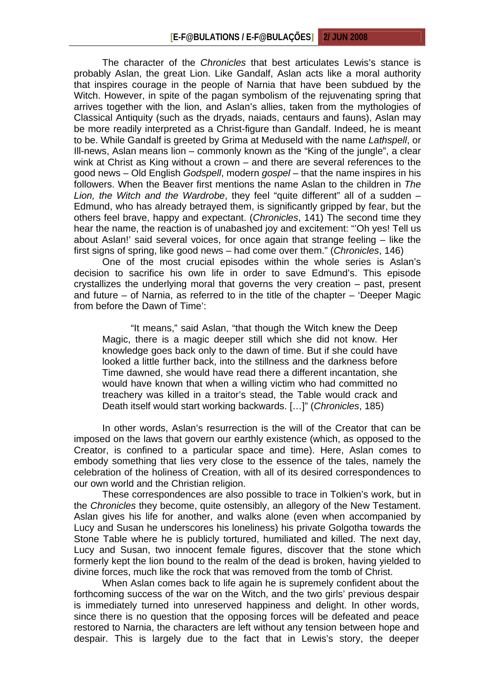The character of the *Chronicles* that best articulates Lewis's stance is probably Aslan, the great Lion. Like Gandalf, Aslan acts like a moral authority that inspires courage in the people of Narnia that have been subdued by the Witch. However, in spite of the pagan symbolism of the rejuvenating spring that arrives together with the lion, and Aslan's allies, taken from the mythologies of Classical Antiquity (such as the dryads, naiads, centaurs and fauns), Aslan may be more readily interpreted as a Christ-figure than Gandalf. Indeed, he is meant to be. While Gandalf is greeted by Grima at Meduseld with the name *Lathspell*, or Ill-news, Aslan means lion – commonly known as the "King of the jungle", a clear wink at Christ as King without a crown – and there are several references to the good news – Old English *Godspell*, modern *gospel* – that the name inspires in his followers. When the Beaver first mentions the name Aslan to the children in *The Lion, the Witch and the Wardrobe*, they feel "quite different" all of a sudden – Edmund, who has already betrayed them, is significantly gripped by fear, but the others feel brave, happy and expectant. (*Chronicles*, 141) The second time they hear the name, the reaction is of unabashed joy and excitement: "'Oh yes! Tell us about Aslan!' said several voices, for once again that strange feeling – like the first signs of spring, like good news – had come over them." (*Chronicles*, 146)

One of the most crucial episodes within the whole series is Aslan's decision to sacrifice his own life in order to save Edmund's. This episode crystallizes the underlying moral that governs the very creation – past, present and future – of Narnia, as referred to in the title of the chapter – 'Deeper Magic from before the Dawn of Time':

"It means," said Aslan, "that though the Witch knew the Deep Magic, there is a magic deeper still which she did not know. Her knowledge goes back only to the dawn of time. But if she could have looked a little further back, into the stillness and the darkness before Time dawned, she would have read there a different incantation, she would have known that when a willing victim who had committed no treachery was killed in a traitor's stead, the Table would crack and Death itself would start working backwards. […]" (*Chronicles*, 185)

In other words, Aslan's resurrection is the will of the Creator that can be imposed on the laws that govern our earthly existence (which, as opposed to the Creator, is confined to a particular space and time). Here, Aslan comes to embody something that lies very close to the essence of the tales, namely the celebration of the holiness of Creation, with all of its desired correspondences to our own world and the Christian religion.

These correspondences are also possible to trace in Tolkien's work, but in the *Chronicles* they become, quite ostensibly, an allegory of the New Testament. Aslan gives his life for another, and walks alone (even when accompanied by Lucy and Susan he underscores his loneliness) his private Golgotha towards the Stone Table where he is publicly tortured, humiliated and killed. The next day, Lucy and Susan, two innocent female figures, discover that the stone which formerly kept the lion bound to the realm of the dead is broken, having yielded to divine forces, much like the rock that was removed from the tomb of Christ.

When Aslan comes back to life again he is supremely confident about the forthcoming success of the war on the Witch, and the two girls' previous despair is immediately turned into unreserved happiness and delight. In other words, since there is no question that the opposing forces will be defeated and peace restored to Narnia, the characters are left without any tension between hope and despair. This is largely due to the fact that in Lewis's story, the deeper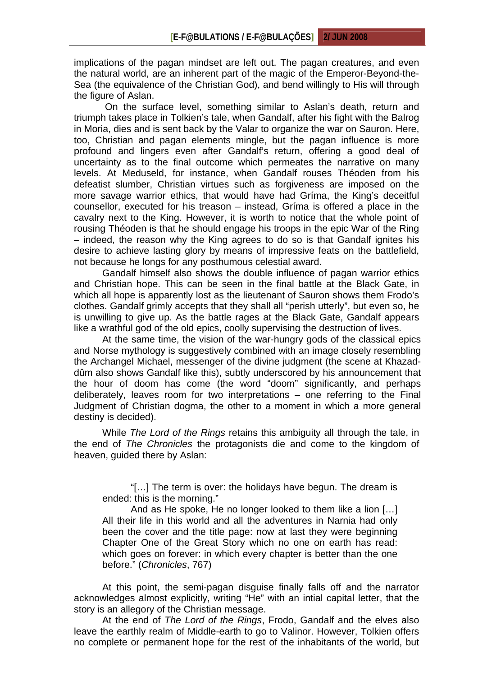implications of the pagan mindset are left out. The pagan creatures, and even the natural world, are an inherent part of the magic of the Emperor-Beyond-the-Sea (the equivalence of the Christian God), and bend willingly to His will through the figure of Aslan.

 On the surface level, something similar to Aslan's death, return and triumph takes place in Tolkien's tale, when Gandalf, after his fight with the Balrog in Moria, dies and is sent back by the Valar to organize the war on Sauron. Here, too, Christian and pagan elements mingle, but the pagan influence is more profound and lingers even after Gandalf's return, offering a good deal of uncertainty as to the final outcome which permeates the narrative on many levels. At Meduseld, for instance, when Gandalf rouses Théoden from his defeatist slumber, Christian virtues such as forgiveness are imposed on the more savage warrior ethics, that would have had Gríma, the King's deceitful counsellor, executed for his treason – instead, Gríma is offered a place in the cavalry next to the King. However, it is worth to notice that the whole point of rousing Théoden is that he should engage his troops in the epic War of the Ring – indeed, the reason why the King agrees to do so is that Gandalf ignites his desire to achieve lasting glory by means of impressive feats on the battlefield, not because he longs for any posthumous celestial award.

Gandalf himself also shows the double influence of pagan warrior ethics and Christian hope. This can be seen in the final battle at the Black Gate, in which all hope is apparently lost as the lieutenant of Sauron shows them Frodo's clothes. Gandalf grimly accepts that they shall all "perish utterly", but even so, he is unwilling to give up. As the battle rages at the Black Gate, Gandalf appears like a wrathful god of the old epics, coolly supervising the destruction of lives.

At the same time, the vision of the war-hungry gods of the classical epics and Norse mythology is suggestively combined with an image closely resembling the Archangel Michael, messenger of the divine judgment (the scene at Khazaddûm also shows Gandalf like this), subtly underscored by his announcement that the hour of doom has come (the word "doom" significantly, and perhaps deliberately, leaves room for two interpretations – one referring to the Final Judgment of Christian dogma, the other to a moment in which a more general destiny is decided).

While *The Lord of the Rings* retains this ambiguity all through the tale, in the end of *The Chronicles* the protagonists die and come to the kingdom of heaven, guided there by Aslan:

"[…] The term is over: the holidays have begun. The dream is ended: this is the morning."

And as He spoke, He no longer looked to them like a lion […] All their life in this world and all the adventures in Narnia had only been the cover and the title page: now at last they were beginning Chapter One of the Great Story which no one on earth has read: which goes on forever: in which every chapter is better than the one before." (*Chronicles*, 767)

At this point, the semi-pagan disguise finally falls off and the narrator acknowledges almost explicitly, writing "He" with an intial capital letter, that the story is an allegory of the Christian message.

At the end of *The Lord of the Rings*, Frodo, Gandalf and the elves also leave the earthly realm of Middle-earth to go to Valinor. However, Tolkien offers no complete or permanent hope for the rest of the inhabitants of the world, but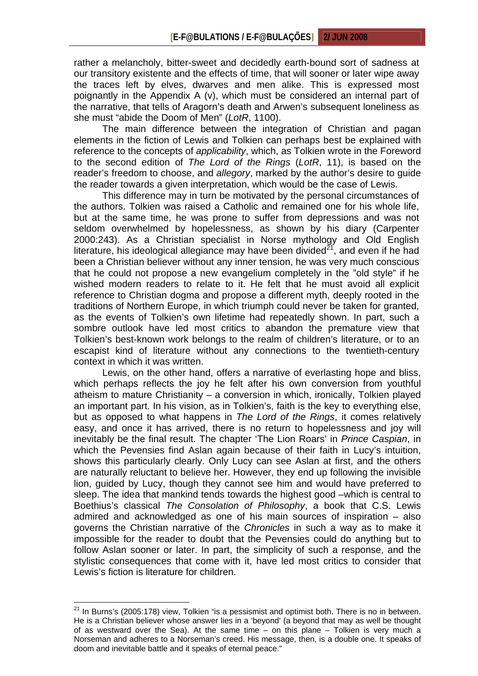rather a melancholy, bitter-sweet and decidedly earth-bound sort of sadness at our transitory existente and the effects of time, that will sooner or later wipe away the traces left by elves, dwarves and men alike. This is expressed most poignantly in the Appendix A (v), which must be considered an internal part of the narrative, that tells of Aragorn's death and Arwen's subsequent loneliness as she must "abide the Doom of Men" (*LotR*, 1100).

The main difference between the integration of Christian and pagan elements in the fiction of Lewis and Tolkien can perhaps best be explained with reference to the concepts of *applicability*, which, as Tolkien wrote in the Foreword to the second edition of *The Lord of the Rings* (*LotR*, 11), is based on the reader's freedom to choose, and *allegory*, marked by the author's desire to guide the reader towards a given interpretation, which would be the case of Lewis.

This difference may in turn be motivated by the personal circumstances of the authors. Tolkien was raised a Catholic and remained one for his whole life, but at the same time, he was prone to suffer from depressions and was not seldom overwhelmed by hopelessness, as shown by his diary (Carpenter 2000:243). As a Christian specialist in Norse mythology and Old English literature, his ideological allegiance may have been divided $2<sup>1</sup>$ , and even if he had been a Christian believer without any inner tension, he was very much conscious that he could not propose a new evangelium completely in the "old style" if he wished modern readers to relate to it. He felt that he must avoid all explicit reference to Christian dogma and propose a different myth, deeply rooted in the traditions of Northern Europe, in which triumph could never be taken for granted, as the events of Tolkien's own lifetime had repeatedly shown. In part, such a sombre outlook have led most critics to abandon the premature view that Tolkien's best-known work belongs to the realm of children's literature, or to an escapist kind of literature without any connections to the twentieth-century context in which it was written.

Lewis, on the other hand, offers a narrative of everlasting hope and bliss, which perhaps reflects the joy he felt after his own conversion from youthful atheism to mature Christianity – a conversion in which, ironically, Tolkien played an important part. In his vision, as in Tolkien's, faith is the key to everything else, but as opposed to what happens in *The Lord of the Rings*, it comes relatively easy, and once it has arrived, there is no return to hopelessness and joy will inevitably be the final result. The chapter 'The Lion Roars' in *Prince Caspian*, in which the Pevensies find Aslan again because of their faith in Lucy's intuition, shows this particularly clearly. Only Lucy can see Aslan at first, and the others are naturally reluctant to believe her. However, they end up following the invisible lion, guided by Lucy, though they cannot see him and would have preferred to sleep. The idea that mankind tends towards the highest good –which is central to Boethius's classical *The Consolation of Philosophy*, a book that C.S. Lewis admired and acknowledged as one of his main sources of inspiration – also governs the Christian narrative of the *Chronicles* in such a way as to make it impossible for the reader to doubt that the Pevensies could do anything but to follow Aslan sooner or later. In part, the simplicity of such a response, and the stylistic consequences that come with it, have led most critics to consider that Lewis's fiction is literature for children.

 $21$  In Burns's (2005:178) view, Tolkien "is a pessismist and optimist both. There is no in between. He is a Christian believer whose answer lies in a 'beyond' (a beyond that may as well be thought of as westward over the Sea). At the same time – on this plane – Tolkien is very much a Norseman and adheres to a Norseman's creed. His message, then, is a double one. It speaks of doom and inevitable battle and it speaks of eternal peace."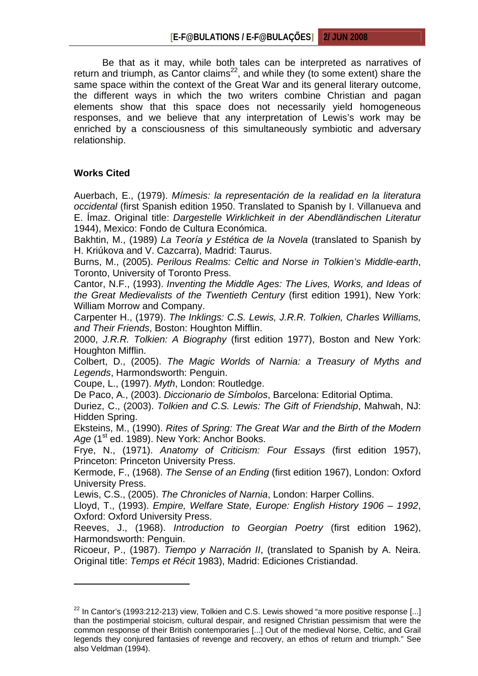Be that as it may, while both tales can be interpreted as narratives of return and triumph, as Cantor claims<sup>22</sup>, and while they (to some extent) share the same space within the context of the Great War and its general literary outcome, the different ways in which the two writers combine Christian and pagan elements show that this space does not necessarily yield homogeneous responses, and we believe that any interpretation of Lewis's work may be enriched by a consciousness of this simultaneously symbiotic and adversary relationship.

## **Works Cited**

 $\overline{a}$ 

Auerbach, E., (1979). *Mímesis: la representación de la realidad en la literatura occidental* (first Spanish edition 1950. Translated to Spanish by I. Villanueva and E. Ímaz. Original title: *Dargestelle Wirklichkeit in der Abendländischen Literatur* 1944), Mexico: Fondo de Cultura Económica.

Bakhtin, M., (1989) *La Teoría y Estética de la Novela* (translated to Spanish by H. Kriúkova and V. Cazcarra), Madrid: Taurus.

Burns, M., (2005). *Perilous Realms: Celtic and Norse in Tolkien's Middle-earth*, Toronto, University of Toronto Press.

Cantor, N.F., (1993). *Inventing the Middle Ages: The Lives, Works, and Ideas of the Great Medievalists of the Twentieth Century* (first edition 1991), New York: William Morrow and Company.

Carpenter H., (1979). *The Inklings: C.S. Lewis, J.R.R. Tolkien, Charles Williams, and Their Friends*, Boston: Houghton Mifflin.

2000, *J.R.R. Tolkien: A Biography* (first edition 1977), Boston and New York: Houghton Mifflin.

Colbert, D., (2005). *The Magic Worlds of Narnia: a Treasury of Myths and Legends*, Harmondsworth: Penguin.

Coupe, L., (1997). *Myth*, London: Routledge.

De Paco, A., (2003). *Diccionario de Símbolos*, Barcelona: Editorial Optima.

Duriez, C., (2003). *Tolkien and C.S. Lewis: The Gift of Friendship*, Mahwah, NJ: Hidden Spring.

Eksteins, M., (1990). *Rites of Spring: The Great War and the Birth of the Modern*  Age (1<sup>st</sup> ed. 1989). New York: Anchor Books.

Frye, N., (1971). *Anatomy of Criticism: Four Essays* (first edition 1957), Princeton: Princeton University Press.

Kermode, F., (1968). *The Sense of an Ending* (first edition 1967), London: Oxford University Press.

Lewis, C.S., (2005). *The Chronicles of Narnia*, London: Harper Collins.

Lloyd, T., (1993). *Empire, Welfare State, Europe: English History 1906 – 1992*, Oxford: Oxford University Press.

Reeves, J., (1968). *Introduction to Georgian Poetry* (first edition 1962), Harmondsworth: Penguin.

Ricoeur, P., (1987). *Tiempo y Narración II*, (translated to Spanish by A. Neira. Original title: *Temps et Récit* 1983), Madrid: Ediciones Cristiandad.

 $22$  In Cantor's (1993:212-213) view, Tolkien and C.S. Lewis showed "a more positive response [...] than the postimperial stoicism, cultural despair, and resigned Christian pessimism that were the common response of their British contemporaries [...] Out of the medieval Norse, Celtic, and Grail legends they conjured fantasies of revenge and recovery, an ethos of return and triumph." See also Veldman (1994).